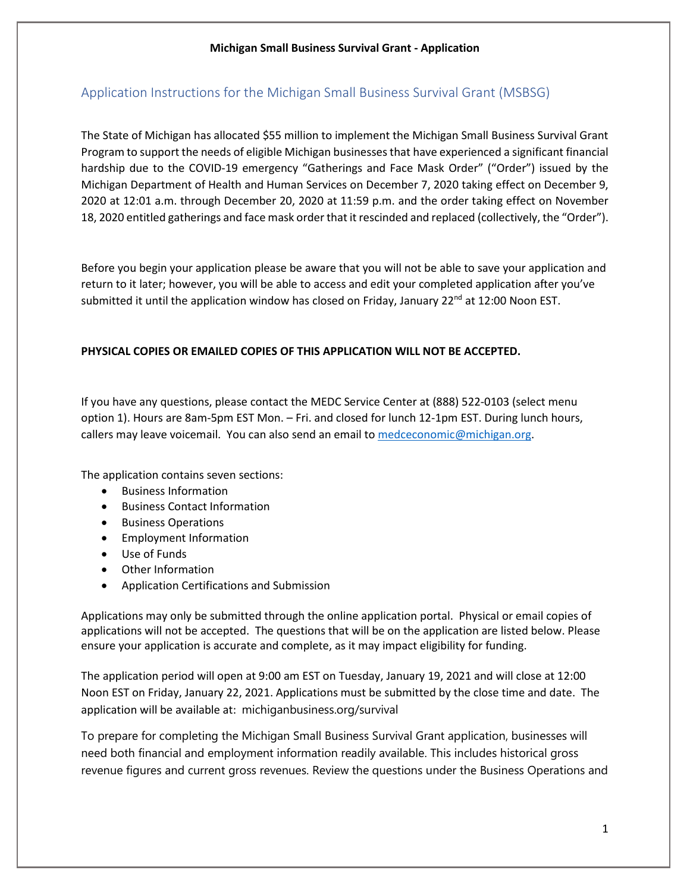### Application Instructions for the Michigan Small Business Survival Grant (MSBSG)

The State of Michigan has allocated \$55 million to implement the Michigan Small Business Survival Grant Program to support the needs of eligible Michigan businesses that have experienced a significant financial hardship due to the COVID-19 emergency "Gatherings and Face Mask Order" ("Order") issued by the Michigan Department of Health and Human Services on December 7, 2020 taking effect on December 9, 2020 at 12:01 a.m. through December 20, 2020 at 11:59 p.m. and the order taking effect on November 18, 2020 entitled gatherings and face mask order that it rescinded and replaced (collectively, the "Order").

Before you begin your application please be aware that you will not be able to save your application and return to it later; however, you will be able to access and edit your completed application after you've submitted it until the application window has closed on Friday, January  $22^{nd}$  at 12:00 Noon EST.

#### **PHYSICAL COPIES OR EMAILED COPIES OF THIS APPLICATION WILL NOT BE ACCEPTED.**

If you have any questions, please contact the MEDC Service Center at (888) 522-0103 (select menu option 1). Hours are 8am-5pm EST Mon. – Fri. and closed for lunch 12-1pm EST. During lunch hours, callers may leave voicemail. You can also send an email to [medceconomic@michigan.org.](mailto:medceconomic@michigan.org)

The application contains seven sections:

- Business Information
- Business Contact Information
- Business Operations
- Employment Information
- Use of Funds
- Other Information
- Application Certifications and Submission

Applications may only be submitted through the online application portal. Physical or email copies of applications will not be accepted. The questions that will be on the application are listed below. Please ensure your application is accurate and complete, as it may impact eligibility for funding.

The application period will open at 9:00 am EST on Tuesday, January 19, 2021 and will close at 12:00 Noon EST on Friday, January 22, 2021. Applications must be submitted by the close time and date. The application will be available at: michiganbusiness.org/survival

To prepare for completing the Michigan Small Business Survival Grant application, businesses will need both financial and employment information readily available. This includes historical gross revenue figures and current gross revenues. Review the questions under the Business Operations and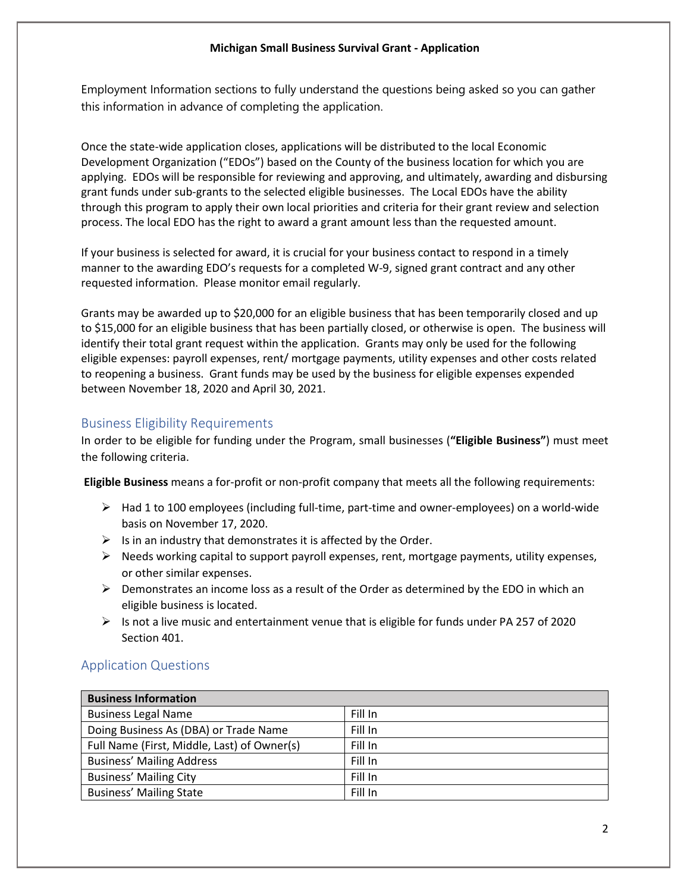Employment Information sections to fully understand the questions being asked so you can gather this information in advance of completing the application.

Once the state-wide application closes, applications will be distributed to the local Economic Development Organization ("EDOs") based on the County of the business location for which you are applying. EDOs will be responsible for reviewing and approving, and ultimately, awarding and disbursing grant funds under sub-grants to the selected eligible businesses. The Local EDOs have the ability through this program to apply their own local priorities and criteria for their grant review and selection process. The local EDO has the right to award a grant amount less than the requested amount.

If your business is selected for award, it is crucial for your business contact to respond in a timely manner to the awarding EDO's requests for a completed W-9, signed grant contract and any other requested information. Please monitor email regularly.

Grants may be awarded up to \$20,000 for an eligible business that has been temporarily closed and up to \$15,000 for an eligible business that has been partially closed, or otherwise is open. The business will identify their total grant request within the application. Grants may only be used for the following eligible expenses: payroll expenses, rent/ mortgage payments, utility expenses and other costs related to reopening a business. Grant funds may be used by the business for eligible expenses expended between November 18, 2020 and April 30, 2021.

### Business Eligibility Requirements

In order to be eligible for funding under the Program, small businesses (**"Eligible Business"**) must meet the following criteria.

**Eligible Business** means a for-profit or non-profit company that meets all the following requirements:

- $\triangleright$  Had 1 to 100 employees (including full-time, part-time and owner-employees) on a world-wide basis on November 17, 2020.
- $\triangleright$  Is in an industry that demonstrates it is affected by the Order.
- $\triangleright$  Needs working capital to support payroll expenses, rent, mortgage payments, utility expenses, or other similar expenses.
- $\triangleright$  Demonstrates an income loss as a result of the Order as determined by the EDO in which an eligible business is located.
- $\triangleright$  Is not a live music and entertainment venue that is eligible for funds under PA 257 of 2020 Section 401.

### Application Questions

| <b>Business Information</b>                 |         |
|---------------------------------------------|---------|
| <b>Business Legal Name</b>                  | Fill In |
| Doing Business As (DBA) or Trade Name       | Fill In |
| Full Name (First, Middle, Last) of Owner(s) | Fill In |
| <b>Business' Mailing Address</b>            | Fill In |
| <b>Business' Mailing City</b>               | Fill In |
| <b>Business' Mailing State</b>              | Fill In |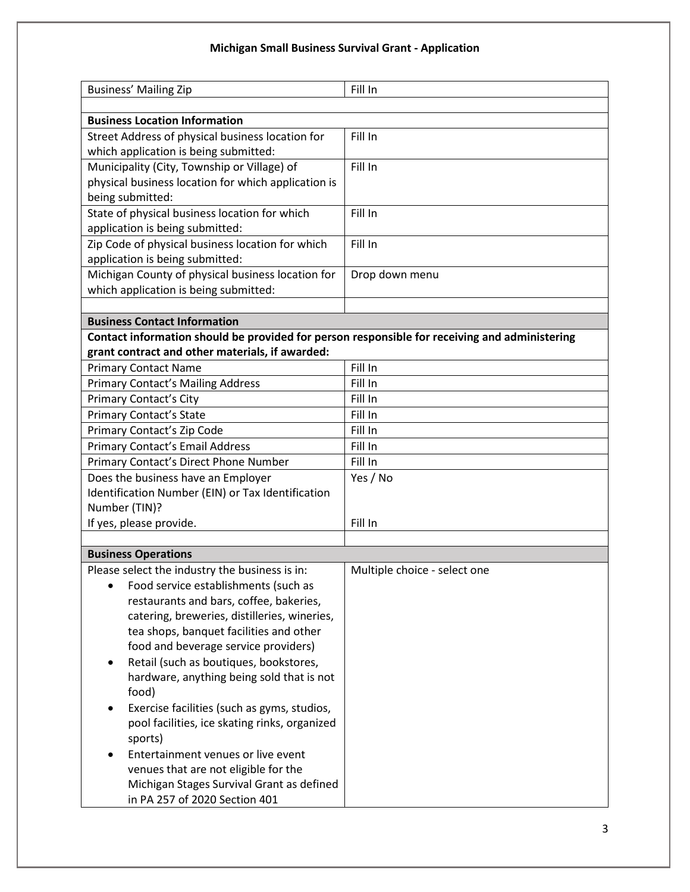| <b>Business' Mailing Zip</b>                                                                  | Fill In                      |
|-----------------------------------------------------------------------------------------------|------------------------------|
|                                                                                               |                              |
| <b>Business Location Information</b>                                                          | Fill In                      |
| Street Address of physical business location for<br>which application is being submitted:     |                              |
| Municipality (City, Township or Village) of                                                   | Fill In                      |
| physical business location for which application is                                           |                              |
| being submitted:                                                                              |                              |
| State of physical business location for which                                                 | Fill In                      |
| application is being submitted:                                                               |                              |
| Zip Code of physical business location for which                                              | Fill In                      |
| application is being submitted:                                                               |                              |
| Michigan County of physical business location for                                             | Drop down menu               |
| which application is being submitted:                                                         |                              |
|                                                                                               |                              |
| <b>Business Contact Information</b>                                                           |                              |
| Contact information should be provided for person responsible for receiving and administering |                              |
| grant contract and other materials, if awarded:                                               |                              |
| <b>Primary Contact Name</b>                                                                   | Fill In                      |
| <b>Primary Contact's Mailing Address</b>                                                      | Fill In                      |
| <b>Primary Contact's City</b>                                                                 | Fill In                      |
| <b>Primary Contact's State</b>                                                                | Fill In                      |
| Primary Contact's Zip Code                                                                    | Fill In                      |
| Primary Contact's Email Address                                                               | Fill In                      |
| Primary Contact's Direct Phone Number                                                         | Fill In                      |
| Does the business have an Employer                                                            | Yes / No                     |
| Identification Number (EIN) or Tax Identification                                             |                              |
| Number (TIN)?                                                                                 |                              |
| If yes, please provide.                                                                       | Fill In                      |
| <b>Business Operations</b>                                                                    |                              |
| Please select the industry the business is in:                                                | Multiple choice - select one |
| Food service establishments (such as                                                          |                              |
| restaurants and bars, coffee, bakeries,                                                       |                              |
| catering, breweries, distilleries, wineries,                                                  |                              |
| tea shops, banquet facilities and other                                                       |                              |
| food and beverage service providers)                                                          |                              |
| Retail (such as boutiques, bookstores,                                                        |                              |
| hardware, anything being sold that is not                                                     |                              |
| food)                                                                                         |                              |
| Exercise facilities (such as gyms, studios,                                                   |                              |
| pool facilities, ice skating rinks, organized                                                 |                              |
| sports)                                                                                       |                              |
| Entertainment venues or live event                                                            |                              |
| venues that are not eligible for the                                                          |                              |
| Michigan Stages Survival Grant as defined                                                     |                              |
| in PA 257 of 2020 Section 401                                                                 |                              |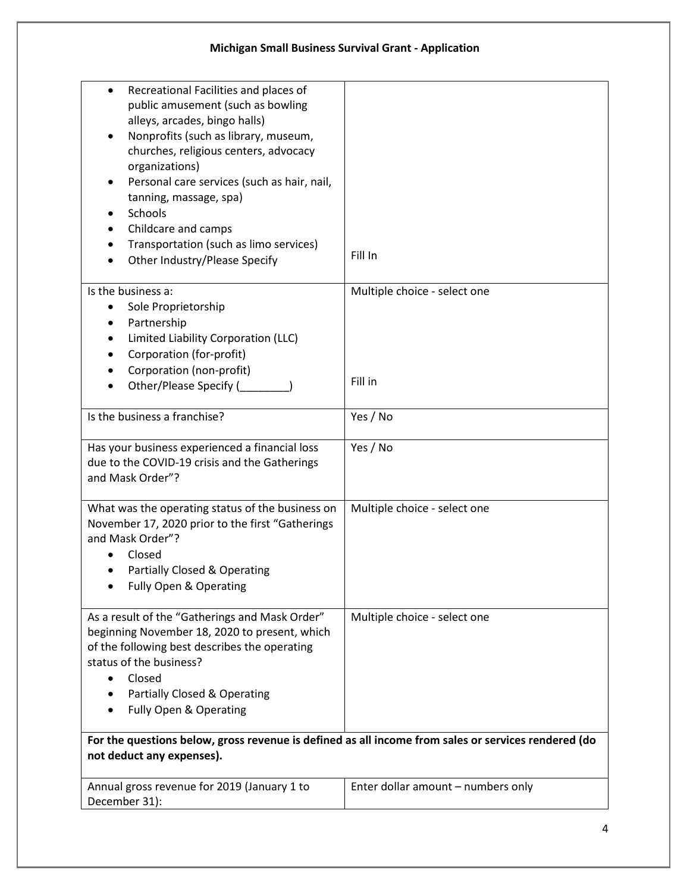| Recreational Facilities and places of<br>public amusement (such as bowling<br>alleys, arcades, bingo halls)<br>Nonprofits (such as library, museum,<br>churches, religious centers, advocacy<br>organizations)<br>Personal care services (such as hair, nail,<br>tanning, massage, spa)<br>Schools<br>Childcare and camps<br>Transportation (such as limo services)<br>Other Industry/Please Specify | Fill In                                 |
|------------------------------------------------------------------------------------------------------------------------------------------------------------------------------------------------------------------------------------------------------------------------------------------------------------------------------------------------------------------------------------------------------|-----------------------------------------|
|                                                                                                                                                                                                                                                                                                                                                                                                      |                                         |
| Is the business a:<br>Sole Proprietorship<br>Partnership<br>$\bullet$<br>Limited Liability Corporation (LLC)<br>Corporation (for-profit)<br>Corporation (non-profit)                                                                                                                                                                                                                                 | Multiple choice - select one<br>Fill in |
| Other/Please Specify (                                                                                                                                                                                                                                                                                                                                                                               |                                         |
| Is the business a franchise?                                                                                                                                                                                                                                                                                                                                                                         | Yes / No                                |
| Has your business experienced a financial loss<br>due to the COVID-19 crisis and the Gatherings<br>and Mask Order"?                                                                                                                                                                                                                                                                                  | Yes / No                                |
| What was the operating status of the business on<br>November 17, 2020 prior to the first "Gatherings<br>and Mask Order"?<br>Closed<br>Partially Closed & Operating<br>Fully Open & Operating                                                                                                                                                                                                         | Multiple choice - select one            |
| As a result of the "Gatherings and Mask Order"<br>beginning November 18, 2020 to present, which<br>of the following best describes the operating<br>status of the business?<br>Closed<br>Partially Closed & Operating<br>Fully Open & Operating                                                                                                                                                      | Multiple choice - select one            |
| For the questions below, gross revenue is defined as all income from sales or services rendered (do<br>not deduct any expenses).                                                                                                                                                                                                                                                                     |                                         |
| Annual gross revenue for 2019 (January 1 to<br>December 31):                                                                                                                                                                                                                                                                                                                                         | Enter dollar amount - numbers only      |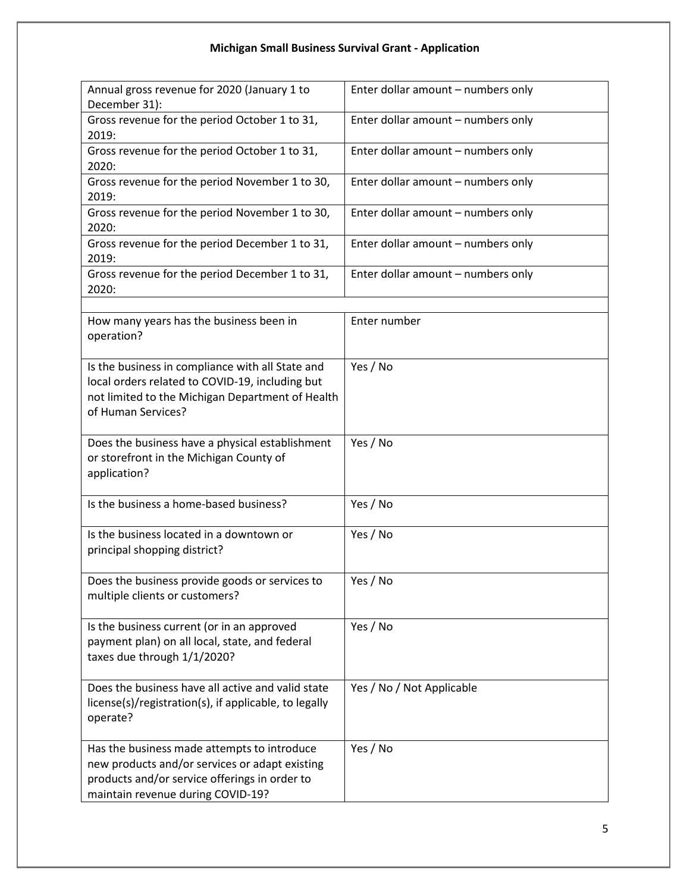| Annual gross revenue for 2020 (January 1 to<br>December 31):                                                                                                                        | Enter dollar amount - numbers only |
|-------------------------------------------------------------------------------------------------------------------------------------------------------------------------------------|------------------------------------|
| Gross revenue for the period October 1 to 31,<br>2019:                                                                                                                              | Enter dollar amount - numbers only |
| Gross revenue for the period October 1 to 31,<br>2020:                                                                                                                              | Enter dollar amount - numbers only |
| Gross revenue for the period November 1 to 30,<br>2019:                                                                                                                             | Enter dollar amount - numbers only |
| Gross revenue for the period November 1 to 30,<br>2020:                                                                                                                             | Enter dollar amount - numbers only |
| Gross revenue for the period December 1 to 31,<br>2019:                                                                                                                             | Enter dollar amount - numbers only |
| Gross revenue for the period December 1 to 31,<br>2020:                                                                                                                             | Enter dollar amount - numbers only |
|                                                                                                                                                                                     |                                    |
| How many years has the business been in<br>operation?                                                                                                                               | Enter number                       |
| Is the business in compliance with all State and<br>local orders related to COVID-19, including but<br>not limited to the Michigan Department of Health<br>of Human Services?       | Yes / No                           |
| Does the business have a physical establishment<br>or storefront in the Michigan County of<br>application?                                                                          | Yes / No                           |
| Is the business a home-based business?                                                                                                                                              | Yes / No                           |
| Is the business located in a downtown or<br>principal shopping district?                                                                                                            | Yes / No                           |
| Does the business provide goods or services to<br>multiple clients or customers?                                                                                                    | Yes / No                           |
| Is the business current (or in an approved<br>payment plan) on all local, state, and federal<br>taxes due through 1/1/2020?                                                         | Yes / No                           |
| Does the business have all active and valid state<br>license(s)/registration(s), if applicable, to legally<br>operate?                                                              | Yes / No / Not Applicable          |
| Has the business made attempts to introduce<br>new products and/or services or adapt existing<br>products and/or service offerings in order to<br>maintain revenue during COVID-19? | Yes / No                           |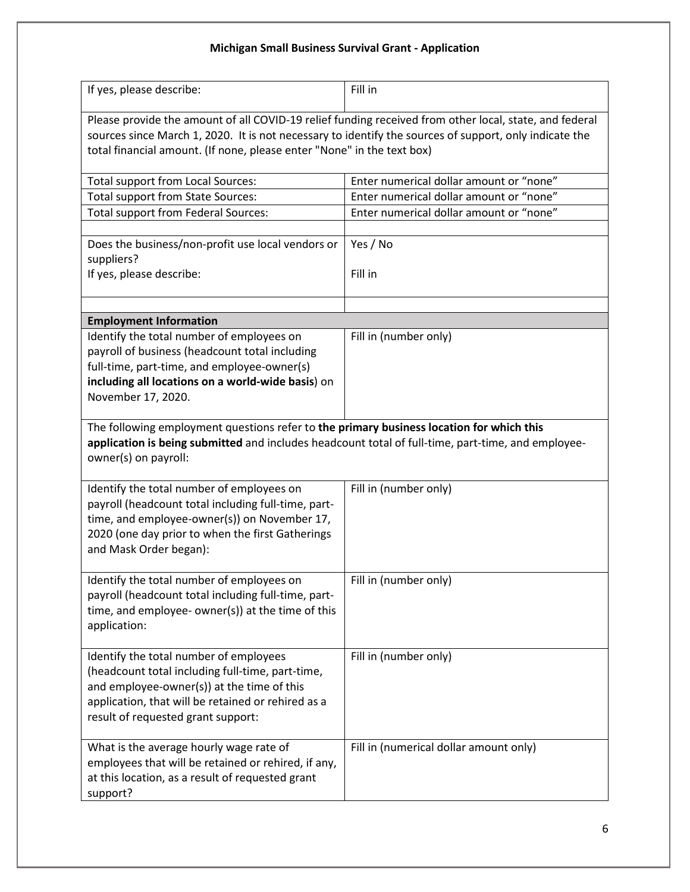| If yes, please describe:                                                                                                                                                                                                                                                                   | Fill in                                 |  |
|--------------------------------------------------------------------------------------------------------------------------------------------------------------------------------------------------------------------------------------------------------------------------------------------|-----------------------------------------|--|
| Please provide the amount of all COVID-19 relief funding received from other local, state, and federal<br>sources since March 1, 2020. It is not necessary to identify the sources of support, only indicate the<br>total financial amount. (If none, please enter "None" in the text box) |                                         |  |
| <b>Total support from Local Sources:</b>                                                                                                                                                                                                                                                   | Enter numerical dollar amount or "none" |  |
| Total support from State Sources:                                                                                                                                                                                                                                                          | Enter numerical dollar amount or "none" |  |
| <b>Total support from Federal Sources:</b>                                                                                                                                                                                                                                                 | Enter numerical dollar amount or "none" |  |
| Does the business/non-profit use local vendors or<br>suppliers?<br>If yes, please describe:                                                                                                                                                                                                | Yes / No<br>Fill in                     |  |
| <b>Employment Information</b>                                                                                                                                                                                                                                                              |                                         |  |
| Identify the total number of employees on<br>payroll of business (headcount total including<br>full-time, part-time, and employee-owner(s)<br>including all locations on a world-wide basis) on<br>November 17, 2020.                                                                      | Fill in (number only)                   |  |
| The following employment questions refer to the primary business location for which this<br>application is being submitted and includes headcount total of full-time, part-time, and employee-<br>owner(s) on payroll:                                                                     |                                         |  |
| Identify the total number of employees on<br>payroll (headcount total including full-time, part-<br>time, and employee-owner(s)) on November 17,<br>2020 (one day prior to when the first Gatherings<br>and Mask Order began):                                                             | Fill in (number only)                   |  |
| Identify the total number of employees on<br>payroll (headcount total including full-time, part-<br>time, and employee- owner(s)) at the time of this<br>application:                                                                                                                      | Fill in (number only)                   |  |
| Identify the total number of employees<br>(headcount total including full-time, part-time,<br>and employee-owner(s)) at the time of this<br>application, that will be retained or rehired as a<br>result of requested grant support:                                                       | Fill in (number only)                   |  |
| What is the average hourly wage rate of<br>employees that will be retained or rehired, if any,<br>at this location, as a result of requested grant<br>support?                                                                                                                             | Fill in (numerical dollar amount only)  |  |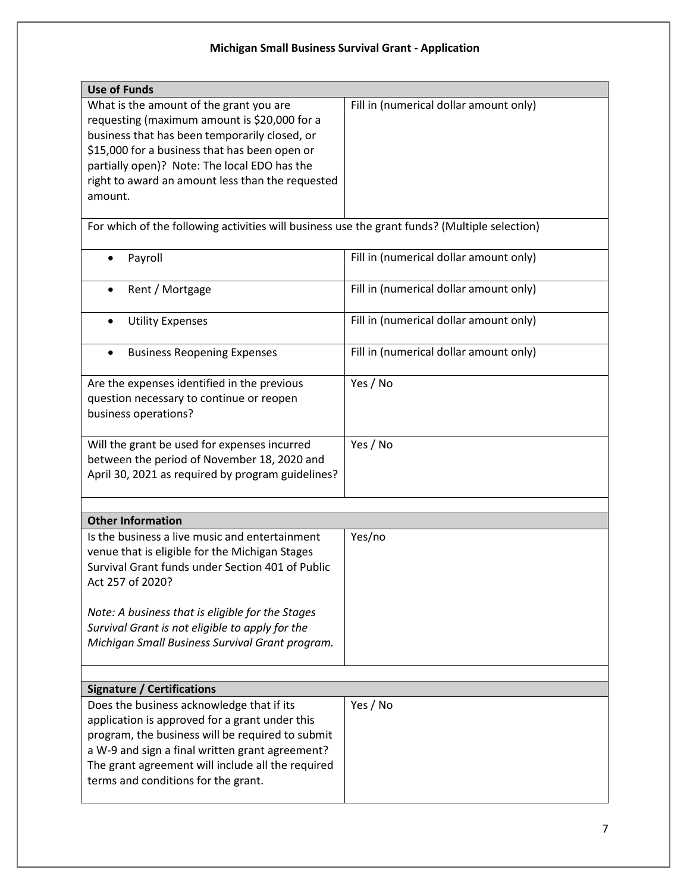| <b>Use of Funds</b>                                                                                             |                                        |  |
|-----------------------------------------------------------------------------------------------------------------|----------------------------------------|--|
| What is the amount of the grant you are                                                                         | Fill in (numerical dollar amount only) |  |
| requesting (maximum amount is \$20,000 for a                                                                    |                                        |  |
| business that has been temporarily closed, or                                                                   |                                        |  |
| \$15,000 for a business that has been open or                                                                   |                                        |  |
| partially open)? Note: The local EDO has the                                                                    |                                        |  |
| right to award an amount less than the requested                                                                |                                        |  |
| amount.                                                                                                         |                                        |  |
|                                                                                                                 |                                        |  |
| For which of the following activities will business use the grant funds? (Multiple selection)                   |                                        |  |
| Payroll<br>$\bullet$                                                                                            | Fill in (numerical dollar amount only) |  |
| Rent / Mortgage                                                                                                 | Fill in (numerical dollar amount only) |  |
| <b>Utility Expenses</b><br>$\bullet$                                                                            | Fill in (numerical dollar amount only) |  |
| <b>Business Reopening Expenses</b><br>$\bullet$                                                                 | Fill in (numerical dollar amount only) |  |
| Are the expenses identified in the previous<br>question necessary to continue or reopen<br>business operations? | Yes / No                               |  |
| Will the grant be used for expenses incurred                                                                    | Yes / No                               |  |
| between the period of November 18, 2020 and                                                                     |                                        |  |
| April 30, 2021 as required by program guidelines?                                                               |                                        |  |
|                                                                                                                 |                                        |  |
|                                                                                                                 |                                        |  |
| <b>Other Information</b>                                                                                        |                                        |  |
| Is the business a live music and entertainment                                                                  | Yes/no                                 |  |
| venue that is eligible for the Michigan Stages                                                                  |                                        |  |
| Survival Grant funds under Section 401 of Public                                                                |                                        |  |
| Act 257 of 2020?                                                                                                |                                        |  |
|                                                                                                                 |                                        |  |
| Note: A business that is eligible for the Stages                                                                |                                        |  |
| Survival Grant is not eligible to apply for the                                                                 |                                        |  |
| Michigan Small Business Survival Grant program.                                                                 |                                        |  |
|                                                                                                                 |                                        |  |
|                                                                                                                 |                                        |  |
| <b>Signature / Certifications</b>                                                                               |                                        |  |
| Does the business acknowledge that if its                                                                       | Yes / No                               |  |
| application is approved for a grant under this                                                                  |                                        |  |
| program, the business will be required to submit                                                                |                                        |  |
| a W-9 and sign a final written grant agreement?                                                                 |                                        |  |
| The grant agreement will include all the required                                                               |                                        |  |
| terms and conditions for the grant.                                                                             |                                        |  |
|                                                                                                                 |                                        |  |